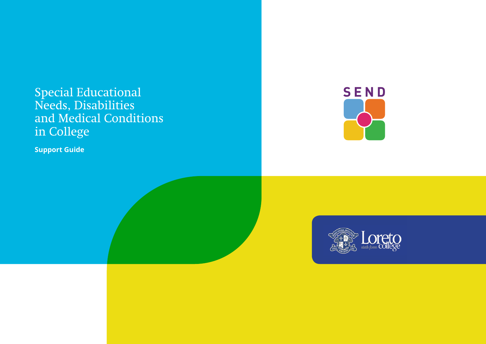**Support Guide**





# Special Educational Needs, Disabilities and Medical Conditions in College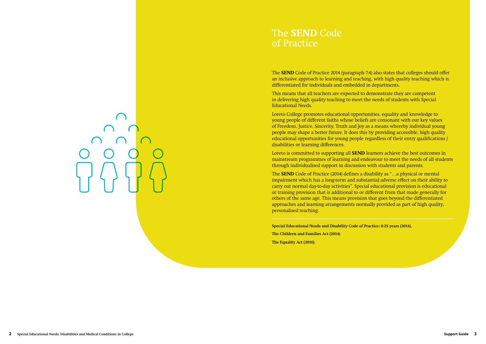The **SEND** Code of Practice 2014 (paragraph 7.4) also states that colleges should offer an inclusive approach to learning and teaching, with high quality teaching which is differentiated for individuals and embedded in departments.

This means that all teachers are expected to demonstrate they are competent in delivering high quality teaching to meet the needs of students with Special Educational Needs.

Loreto College promotes educational opportunities, equality and knowledge to young people of different faiths whose beliefs are consonant with our key values of Freedom, Justice, Sincerity, Truth and Joy as a means whereby individual young people may shape a better future. It does this by providing accessible, high quality educational opportunities for young people regardless of their entry qualifications / disabilities or learning differences.

Loreto is committed to supporting all **SEND** learners achieve the best outcomes in mainstream programmes of learning and endeavour to meet the needs of all students through individualised support in discussion with students and parents.

The **SEND** Code of Practice (2014) defines a disability as "…a physical or mental impairment which has a long-term and substantial adverse effect on their ability to carry out normal day-to-day activities". Special educational provision is educational or training provision that is additional to or different from that made generally for others of the same age. This means provision that goes beyond the differentiated approaches and learning arrangements normally provided as part of high quality, personalised teaching.

**Special Educational Needs and Disability Code of Practice: 0-25 years (2014), The Children and Families Act (2014) The Equality Act (2010).**

# The **SEND** Code of Practice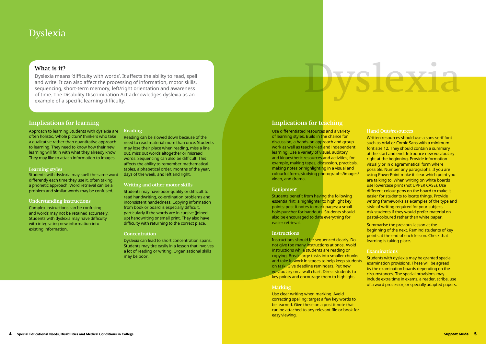# Dyslexia

#### **Implications for learning**

Approach to learning Students with dyslexia are often holistic, 'whole picture' thinkers who take a qualitative rather than quantitative approach to learning. They need to know how their new learning will fit in with what they already know. They may like to attach information to images.

#### **Learning styles**

Students with dyslexia may spell the same word differently each time they use it, often taking a phonetic approach. Word retrieval can be a problem and similar words may be confused.

#### **Understanding instructions**

Complex instructions can be confusing and words may not be retained accurately. Students with dyslexia may have difficulty with integrating new information into existing information.

#### **Reading**

Reading can be slowed down because of the need to read material more than once. Students may lose their place when reading, miss a line out, miss out words altogether or misread words. Sequencing can also be difficult. This affects the ability to remember mathematical tables, alphabetical order, months of the year, days of the week, and left and right.

#### **Writing and other motor skills**

Students may have poor-quality or difficult to read handwriting, co-ordination problems and inconsistent handedness. Copying information from book or board is especially difficult, particularly if the words are in cursive (joined up) handwriting or small print. They also have difficulty with returning to the correct place.

#### **Concentration**

Dyslexia can lead to short concentration spans. Students may tire easily in a lesson that involves a lot of reading or writing. Organisational skills may be poor.

### **Implications for teaching**

Use differentiated resources and a variety of learning styles. Build in the chance for discussion, a hands-on approach and group work as well as teacher-led and independent learning. Use a variety of visual, auditory and kinaesthetic resources and activities; for example, making tapes, discussion, practicals, making notes or highlighting in a visual and colourful form, studying photographs/images/ video, and drama.

#### **Equipment**

Students benefit from having the following essential 'kit': a highlighter to highlight key points; post it notes to mark pages; a small hole-puncher for handouts. Students should also be encouraged to date everything for easier retrieval.

#### **Instructions**

Instructions should be sequenced clearly. Do not give too many instructions at once. Avoid instructions while students are reading or copying. Break large tasks into smaller chunks and take in work in stages to help keep students on task. Give deadline reminders. Put new vocabulary on a wall chart. Direct students to key points and encourage them to highlight.

#### **Marking**

Use clear writing when marking. Avoid correcting spelling: target a few key words to be learned. Give these on a post-it note that can be attached to any relevant file or book for easy viewing.

Written resources should use a sans serif font such as Arial or Comic Sans with a minimum font size 12. They should contain a summary at the start and end. Introduce new vocabulary right at the beginning. Provide information visually or in diagrammatical form where possible. Number any paragraphs. If you are using PowerPoint make it clear which point you are talking to. When writing on white boards use lowercase print (not UPPER CASE). Use different colour pens on the board to make it easier for students to locate things. Provide writing frameworks as examples of the type and style of writing required for your subject. Ask students if they would prefer material on pastel-coloured rather than white paper.

Summarise the previous lesson at the beginning of the next. Remind students of key points at the end of each lesson. Check that learning is taking place.

#### **Examinations**

Students with dyslexia may be granted special examination provisions. These will be agreed by the examination boards depending on the circumstances. The special provisions may include extra time in exams, a reader, scribe, use of a word processor, or specially adapted papers.

# Dyslexia

#### **What is it?**

Dyslexia means 'difficulty with words'. It affects the ability to read, spell and write. It can also affect the processing of information, motor skills, sequencing, short-term memory, left/right orientation and awareness of time. The Disability Discrimination Act acknowledges dyslexia as an example of a specific learning difficulty.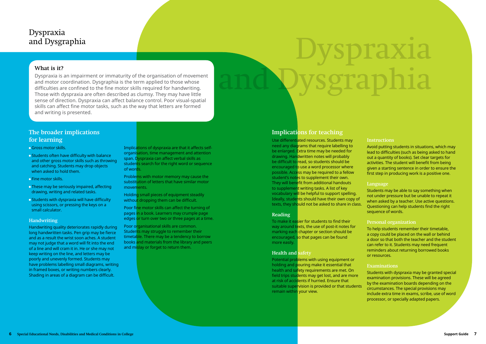# Dyspraxia and Dysgraphia

#### **The broader implications for learning**

- Gross motor skills.
- **Example 15 Students often have difficulty with balance** and other gross motor skills such as throwing and catching. Students may drop objects when asked to hold them.
- **Eine motor skills.**
- **These may be seriously impaired, affecting** drawing, writing and related tasks.
- **Students with dyspraxia will have difficulty** using scissors, or pressing the keys on a small calculator.

#### **Handwriting**

Holding small pieces of equipment steadily without dropping them can be difficult.

Handwriting quality deteriorates rapidly during long handwritten tasks. Pen grip may be fierce and as a result the wrist soon aches. A student may not judge that a word will fit into the end of a line and will cram it in. He or she may not keep writing on the line, and letters may be poorly and unevenly formed. Students may have problems labelling small diagrams, writing in framed boxes, or writing numbers clearly. Shading in areas of a diagram can be difficult.

Use differentiated resources. Students may need any diagrams that require labelling to be enlarged. Extra time may be needed for drawing. Handwritten notes will probably be difficult to read, so students should be encouraged to use a word processor where possible. Access may be required to a fellow student's notes to supplement their own. They will benefit from additional handouts to supplement writing tasks. A list of key vocabulary will be helpful to support spelling. Ideally, students should have their own copy of texts, they should not be asked to share in class.

Implications of dyspraxia are that it affects selforganisation, time management and attention span. Dyspraxia can affect verbal skills as students search for the right word or sequence of words.

Problems with motor memory may cause the substitution of letters that have similar motor movements.

Poor fine motor skills can affect the turning of pages in a book. Learners may crumple page edges or turn over two or three pages at a time.

Poor organisational skills are common. Students may struggle to remember their timetable. There may be a tendency to borrow books and materials from the library and peers and mislay or forget to return them.

# Dyspraxia and Dysgraphia

### **Implications for teaching**

#### **Reading**

To make it easier for students to find their way around texts, the use of post-it notes for marking each chapter or section should be encouraged, so that pages can be found more easily.

#### **Health and safety**

Potential problems with using equipment or holding and pouring make it essential that health and safety requirements are met. On field trips students may get lost, and are more at risk of accidents if hurried. Ensure that suitable supervision is provided or that students remain within your view.

#### **Instructions**

Avoid putting students in situations, which may lead to difficulties (such as being asked to hand out a quantity of books). Set clear targets for activities. The student will benefit from being given a starting sentence in order to ensure the first step in producing work is a positive one.

#### **Language**

Students may be able to say something when not under pressure but be unable to repeat it when asked by a teacher. Use active questions. Questioning can help students find the right sequence of words.

#### **Personal organization**

To help students remember their timetable, a copy could be placed on the wall or behind a door so that both the teacher and the student can refer to it. Students may need frequent reminders about returning borrowed books or resources.

#### **Examinations**

Students with dyspraxia may be granted special examination provisions. These will be agreed by the examination boards depending on the circumstances. The special provisions may include extra time in exams, scribe, use of word processor, or specially adapted papers.

#### **What is it?**

Dyspraxia is an impairment or immaturity of the organisation of movement and motor coordination. Dysgraphia is the term applied to those whose difficulties are confined to the fine motor skills required for handwriting. Those with dyspraxia are often described as clumsy. They may have little sense of direction. Dyspraxia can affect balance control. Poor visual-spatial skills can affect fine motor tasks, such as the way that letters are formed and writing is presented.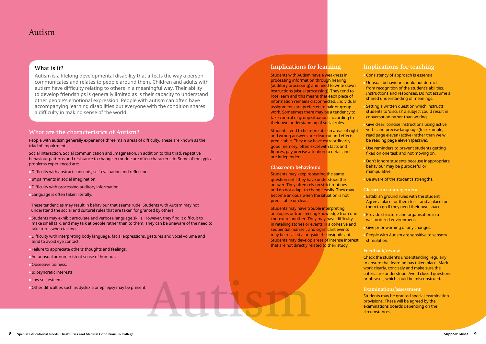Autism

#### **What are the characteristics of Autism?**

People with autism generally experience three main areas of difficulty. These are known as the triad of impairments.

Social interaction, Social communication and Imagination. In addition to this triad, repetitive behaviour patterns and resistance to change in routine are often characteristic. Some of the typical problems experienced are:

- **Difficulty with abstract concepts, self-evaluation and reflection.**
- **Impairments in social imagination.**
- **Difficulty with processing auditory information.**
- **Language is often taken literally.**

These tendencies may result in behaviour that seems rude. Students with Autism may not understand the social and cultural rules that are taken for granted by others.

- Students may exhibit articulate and verbose language skills. However, they find it difficult to make small talk, and may talk at people rather than to them. They can be unaware of the need to take turns when talking.
- Difficulty with interpreting body language, facial expressions, gestures and vocal volume and tend to avoid eye contact.
- **Failure to appreciate others' thoughts and feelings.**
- An unusual or non-existent sense of humour.
- **Obsessive tidiness.**
- Idiosyncratic interests.
- **Low self esteem.**
- Other difficulties such as dyslexia or epilepsy may be present.

#### **Implications for learning**

Students with Autism have a weakness in processing information through hearing (auditory processing) and need to write down instructions (visual processing). They tend to rote learn and this means that each piece of information remains disconnected. Individual assignments are preferred to pair or group work. Sometimes there may be a tendency to take control of group situations according to their own understanding of social rules.

**Give clear, concise instructions using active** verbs and precise language (for example, read page eleven (active) rather than we will be reading page eleven (passive).

**Don't ignore students because inappropriate** behaviour may be purposeful or manipulative.

**Be aware of the student's strengths.** 

**Provide structure and organisation in a** well-ordered environment.

**People with Autism are sensitive to sensory** stimulation.

Students tend to be more able in areas of right and wrong answers are clear cut and effects predictable. They may have extraordinarily good memory, often excel with facts and figures, pay precise attention to detail and are independent.

#### **Classroom behaviours**

Students may keep repeating the same question until they have understood the answer. They often rely on strict routines and do not adapt to change easily. They may become anxious when the situation is not predictable or clear.

Students may have trouble interpreting analogies or transferring knowledge from one context to another. They may have difficulty in retelling stories or events in a cohesive and sequential manner, and significant events may be recalled alongside the insignificant. Students may develop areas of intense interest that are not directly related to their study.

#### **Implications for teaching**

Consistency of approach is essential.

Unusual behaviour should not detract from recognition of the student's abilities. Instructions and responses. Do not assume a shared understanding of meanings.

Setting a written question which instructs students to 'discuss' a subject could result in conversation rather than writing.

Use reminders to prevent students getting fixed on one task and not moving on.

#### **Classroom management**

Establish ground rules with the student. Agree a place for them to sit and a place for them to go if they need their own space.

Give prior warning of any changes.

#### **Feedback/review**

Check the student's understanding regularly to ensure that learning has taken place. Mark work clearly, concisely and make sure the criteria are understood. Avoid closed questions or phrases, which could be misconstrued.

#### **Examinations/assessment**

Students may be granted special examination provisions. These will be agreed by the examinations boards depending on the circumstances.

### Autism

#### **What is it?**

Autism is a lifelong developmental disability that affects the way a person communicates and relates to people around them. Children and adults with autism have difficulty relating to others in a meaningful way. Their ability to develop friendships is generally limited as is their capacity to understand other people's emotional expression. People with autism can often have accompanying learning disabilities but everyone with the condition shares a difficulty in making sense of the world.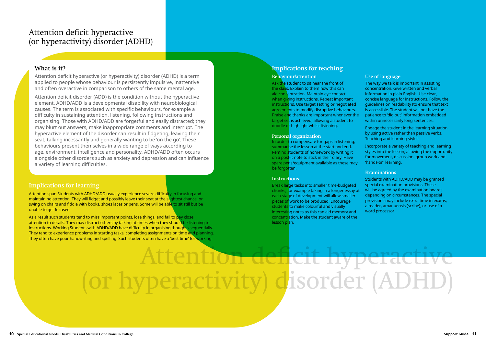### **Implications for teaching**

#### **Behaviour/attention**

In order to compensate for gaps in listening, summarise the lesson at the start and end. Remind students of homework by writing it on a post-it note to stick in their diary. Have spare pens/equipment available as these may be forgotten.

Ask the student to sit near the front of the class. Explain to them how this can aid concentration. Maintain eye contact when giving instructions. Repeat important instructions. Use target setting or negotiated agreements to modify disruptive behaviours. Praise and thanks are important whenever the target set is achieved, allowing a student to doodle or highlight whilst listening.

#### **Personal organization**

#### **Instructions**

Break large tasks into smaller time-budgeted chunks, for example taking in a longer essay at each stage of development will allow smaller pieces of work to be produced. Encourage students to make colourful and visually interesting notes as this can aid memory and concentration. Make the student aware of the lesson plan.

#### **Use of language**

The way we talk is important in assisting concentration. Give written and verbal information in plain English. Use clear, concise language for instructions. Follow the guidelines on readability (to ensure that text is accessible. The student will not have the patience to 'dig out' information embedded within unnecessarily long sentences.

Engage the student in the learning situation by using active rather than passive verbs. Teaching and learning styles

Incorporate a variety of teaching and learning styles into the lesson, allowing the opportunity for movement, discussion, group work and 'hands-on' learning.

#### **Examinations**

Students with ADHD/ADD may be granted special examination provisions. These will be agreed by the examination boards depending on circumstances. The special provisions may include extra time in exams, a reader, amanuensis (scribe), or use of a word processor.

## Attention deficit hyperactive (or hyperactivity) disorder (ADHD)

#### **What is it?**

Attention deficit hyperactive (or hyperactivity) disorder (ADHD) is a term applied to people whose behaviour is persistently impulsive, inattentive and often overactive in comparison to others of the same mental age.

Attention deficit disorder (ADD) is the condition without the hyperactive element. ADHD/ADD is a developmental disability with neurobiological causes. The term is associated with specific behaviours, for example a difficulty in sustaining attention, listening, following instructions and organising. Those with ADHD/ADD are forgetful and easily distracted; they may blurt out answers, make inappropriate comments and interrupt. The hyperactive element of the disorder can result in fidgeting, leaving their seat, talking incessantly and generally wanting to be 'on the go'. These behaviours present themselves in a wide range of ways according to age, environment, intelligence and personality. ADHD/ADD often occurs alongside other disorders such as anxiety and depression and can influence a variety of learning difficulties.

#### **Implications for learning**

Attention span Students with ADHD/ADD usually experience severe difficulty in focusing and maintaining attention. They will fidget and possibly leave their seat at the slightest chance, or swing on chairs and fiddle with books, shoes laces or pens. Some will be able to sit still but be unable to get focused.

As a result such students tend to miss important points, lose things, and fail to pay close attention to details. They may distract others by talking at times when they should be listening to instructions. Working Students with ADHD/ADD have difficulty in organising thoughts sequentially. They tend to experience problems in starting tasks, completing assignments on time and planning. They often have poor handwriting and spelling. Such students often have a 'best time' for working.

# Attentio<del>n deficit hyper</del> (or hyperactivity) disorder (AI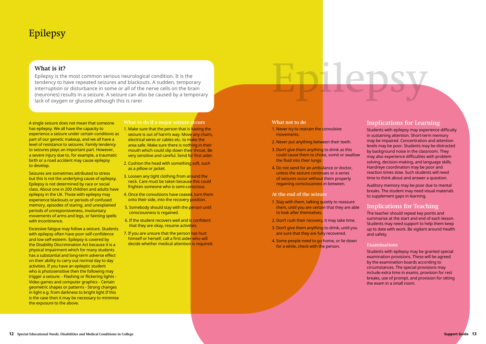What is it?<br>Epilepsy is the most common serious neurological condition. It is the<br>tendency to have repeated seizures and blackouts. A sudden, temporary<br>interruption or disturbance in some or all of the nerve cells on the b Epilepsy is the most common serious neurological condition. It is the tendency to have repeated seizures and blackouts. A sudden, temporary interruption or disturbance in some or all of the nerve cells on the brain (neurones) results in a seizure. A seizure can also be caused by a temporary lack of oxygen or glucose although this is rarer.

A single seizure does not mean that someone has epilepsy. We all have the capacity to experience a seizure under certain conditions as part of our genetic makeup, and we all have a level of resistance to seizures. Family tendency to seizures plays an important part. However, a severe injury due to, for example, a traumatic birth or a road accident may cause epilepsy to develop.

Seizures are sometimes attributed to stress but this is not the underlying cause of epilepsy. Epilepsy is not determined by race or social class. About one in 200 children and adults have epilepsy in the UK. Those with epilepsy may experience blackouts or periods of confused memory, episodes of staring, and unexplained periods of unresponsiveness, involuntary movements of arms and legs, or fainting spells with incontinence.

Excessive fatigue may follow a seizure. Students with epilepsy often have poor self-confidence and low self-esteem. Epilepsy is covered by the Disability Discrimination Act because it is a physical impairment which for many students has a substantial and long-term adverse effect on their ability to carry out normal day to day activities. If you have an epileptic student who is photosensitive then the following may trigger a seizure: - Flashing or flickering lights - Video games and computer graphics - Certain geometric shapes or patterns - Strong changes in light e.g. from darkness to bright light If this is the case then it may be necessary to minimise the exposure to the above.

- 1. Stay with them, talking quietly to reassure them, until you are certain that they are able to look after themselves.
- 2. Don't rush their recovery, it may take time.
- 3. Don't give them anything to drink, until you are sure that they are fully recovered.
- 4. Some people need to go home, or lie down for a while, check with the person.

#### **What to do if a major seizure occurs**

- 1. Make sure that the person that is having the seizure is out of harm's way. Move any chairs, electrical wires or cables etc. to make the area safe. Make sure there is nothing in their mouth which could slip down their throat. Be very sensitive and careful. Send for first aider.
- 2. Cushion the head with something soft, such as a pillow or jacket.
- 3. Loosen any tight clothing from around the neck. Care must be taken because this could frighten someone who is semi-conscious.
- 4. Once the convulsions have ceased, turn them onto their side, into the recovery position.
- 5. Somebody should stay with the person until consciousness is regained.
- 6. If the student recovers well and is confident that they are okay, resume activities.
- 7. If you are unsure that the person has hurt himself or herself, call a first aider who will decide whether medical attention is required.

#### **What not to do**

- 1. Never try to restrain the convulsive movements.
- 2. Never put anything between their teeth.
- 3. Don't give them anything to drink as this could cause them to choke, vomit or swallow the fluid into their lungs.
- 4. Do not send for an ambulance or doctor, unless the seizure continues or a series of seizures occur without them properly regaining consciousness in-between.

#### **At the end of the seizure**

#### **Implications for Learning**

Students with epilepsy may experience difficulty in sustaining attention. Short-term memory may be impaired. Concentration and attention levels may be poor. Students may be distracted by background noise in the classroom. They may also experience difficulties with problem solving, decision-making, and language skills. Hand/eye coordination may be poor and reaction times slow. Such students will need time to think about and answer a question.

Auditory memory may be poor due to mental breaks. The student may need visual materials to supplement gaps in learning.

#### **Implications for Teaching**

The teacher should repeat key points and summarise at the start and end of each lesson. Students may need support to help them keep up to date with work. Be vigilant around Health and safety.

#### **Examinations**

Students with epilepsy may be granted special examination provisions. These will be agreed by the examination boards according to circumstances. The special provisions may include extra time in exams, provision for rest breaks, use of prompt, and provision for sitting the exam in a small room.

# Epilepsy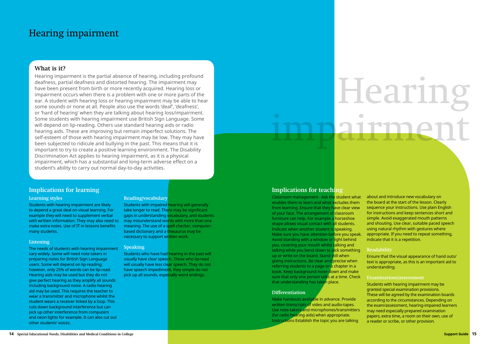# Hearing  $rnn \triangle$

#### **What is it?**

Hearing impairment is the partial absence of hearing, including profound deafness, partial deafness and distorted hearing. The impairment may have been present from birth or more recently acquired. Hearing loss or impairment occurs when there is a problem with one or more parts of the ear. A student with hearing loss or hearing impairment may be able to hear some sounds or none at all. People also use the words 'deaf', 'deafness', or 'hard of hearing' when they are talking about hearing loss/impairment. Some students with hearing impairment use British Sign Language. Some will depend on lip-reading. Others use standard hearing aids or radio hearing aids. These are improving but remain imperfect solutions. The self-esteem of those with hearing impairment may be low. They may have been subjected to ridicule and bullying in the past. This means that it is important to try to create a positive learning environment. The Disability Discrimination Act applies to hearing impairment, as it is a physical impairment, which has a substantial and long-term adverse effect on a student's ability to carry out normal day-to-day activities.

#### **Implications for learning**

#### **Learning styles**

Students with hearing impairment are likely to depend a great deal on visual learning. For example they will need to supplement verbal with written information. They may also need to make extra notes. Use of IT in lessons benefits many students.

#### **Listening**

The needs of students with hearing impairment vary widely. Some will need note takers in preparing notes for British Sign Language users. Some will depend on lip-reading; however, only 25% of words can be lip-read. Hearing aids may be used but they do not give perfect hearing as they amplify all sounds including background noise. A radio hearing aid may be used. This requires the teacher to wear a transmitter and microphone whilst the student wears a receiver linked by a loop. This cuts down background interference but can pick up other interference from computers and neon lights for example. It can also cut out other students' voices.

#### **Reading/vocabulary**

Students with impaired hearing will generally take longer to read. There may be significant gaps in understanding vocabulary, and students may misunderstand words with more than one meaning. The use of a spell checker, computerbased dictionary and a thesaurus may be necessary to support written work.

#### **Speaking**

Students who have had hearing in the past will usually have clear speech. Those who lip-read will usually have less clear speech. They do not have speech impediment, they simple do not pick up all sounds, especially word endings.

#### **Implications for teaching**

#### **Differentiation**

Classroom management - Ask the student what enables them to learn and what excludes them from learning. Ensure that they have clear view of your face. The arrangement of classroom furniture can help. For example a horseshoe shape allows visual contact with all students. Indicate when another student is speaking. Make sure you have attention before you speak. Avoid standing with a window or light behind you, covering your mouth whilst talking and talking while you bend down to pick something up or write on the board. Stand still when giving instructions. Be clear and precise when referring students to a page or a chapter in a book. Keep background noise down and make sure that only one person talks at a time. Check that understanding has taken place. about and introduce new vocabulary on the board at the start of the lesson. Clearly sequence your instructions. Use plain English for instructions and keep sentences short and simple. Avoid exaggerated mouth patterns and shouting. Use clear, suitable paced speech using natural rhythm with gestures where appropriate. If you need to repeat something, indicate that it is a repetition. **Readability** Ensure that the visual appearance of hand outs/ text is appropriate, as this is an important aid to understanding. **Examinations/assessment** 

Make handouts available in advance. Provide written transcripts of video and audio-tapes. Use note-takers and microphones/transmitters (for radio hearing aids) when appropriate. Instructions Establish the topic you are talking

Students with hearing impairment may be granted special examination provisions. These will be agreed by the examination boards according to the circumstances. Depending on the exam/assessment, hearing-impaired learners may need especially prepared examination papers, extra time, a room on their own, use of a reader or scribe, or other provision.

# Hearing impairment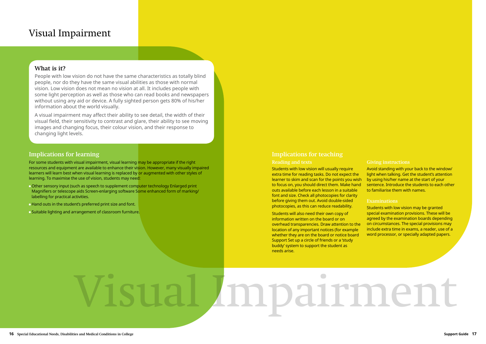#### **What is it?**

People with low vision do not have the same characteristics as totally blind people, nor do they have the same visual abilities as those with normal vision. Low vision does not mean no vision at all. It includes people with some light perception as well as those who can read books and newspapers without using any aid or device. A fully sighted person gets 80% of his/her information about the world visually.

A visual impairment may affect their ability to see detail, the width of their visual field, their sensitivity to contrast and glare, their ability to see moving images and changing focus, their colour vision, and their response to changing light levels.

#### **Implications for learning**

For some students with visual impairment, visual learning may be appropriate if the right resources and equipment are available to enhance their vision. However, many visually impaired learners will learn best when visual learning is replaced by or augmented with other styles of learning. To maximise the use of vision, students may need:

- Other sensory input (such as speech to supplement computer technology Enlarged print Magnifiers or telescope aids Screen-enlarging software Some enhanced form of marking/ labelling for practical activities.
- Hand outs in the student's preferred print size and font.
- Suitable lighting and arrangement of classroom furniture.

#### **Implications for teaching**

#### **Reading and texts**

Students with low vision will usually require extra time for reading tasks. Do not expect the learner to skim and scan for the points you wish to focus on, you should direct them. Make hand outs available before each lesson in a suitable font and size. Check all photocopies for clarity before giving them out. Avoid double-sided photocopies, as this can reduce readability. Avoid standing with your back to the window/ light when talking. Get the student's attention by using his/her name at the start of your sentence. Introduce the students to each other to familiarise them with names. **Examinations**  Students with low vision may be granted

#### **Giving instructions**



Students will also need their own copy of information written on the board or on overhead transparencies. Draw attention to the location of any important notices (for example whether they are on the board or notice board Support Set up a circle of friends or a 'study buddy' system to support the student as needs arise. special examination provisions. These will be agreed by the examination boards depending on circumstances. The special provisions may include extra time in exams, a reader, use of a word processor, or specially adapted papers.

# mpairment

# Visual Impairment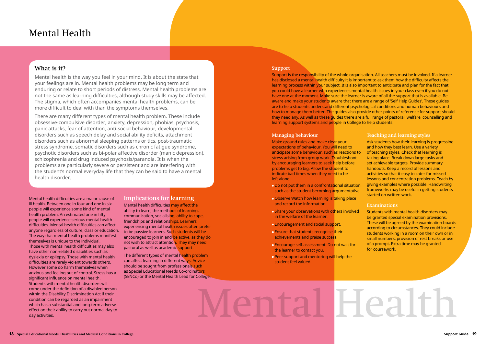# Mental Health

#### **What is it?**

Mental health is the way you feel in your mind. It is about the state that your feelings are in. Mental health problems may be long term and enduring or relate to short periods of distress. Mental health problems are not the same as learning difficulties, although study skills may be affected. The stigma, which often accompanies mental health problems, can be more difficult to deal with than the symptoms themselves.

There are many different types of mental health problem. These include obsessive-compulsive disorder, anxiety, depression, phobias, psychosis, panic attacks, fear of attention, anti-social behaviour, developmental disorders such as speech delay and social ability deficits, attachment disorders such as abnormal sleeping patterns or tics, post-traumatic stress syndrome, somatic disorders such as chronic fatigue syndrome, psychotic disorders such as bi-polar affective disorder (manic depression), schizophrenia and drug induced psychosis/paranoia. It is when the problems are particularly severe or persistent and are interfering with the student's normal everyday life that they can be said to have a mental health disorder.

> Mental health difficulties may affect the ability to learn, the methods of learning, communication, socialising, ability to cope, friendships and relationships. Learners experiencing mental health issues often prefer to be passive learners. Such students will be encouraged to join in and be active, as they do not wish to attract attention. They may need pastoral as well as academic support.

> The different types of mental health problem can affect learning in different ways. Advice should be sought from professionals such as Special Educational Needs Co-ordinators (SENCo) or the Mental Health Lead for College.

Mental health difficulties are a major cause of ill health. Between one in four and one in six people will experience some kind of mental health problem. An estimated one in fifty people will experience serious mental health difficulties. Mental health difficulties can affect anyone regardless of culture, class or education. The way that mental health problems manifest themselves is unique to the individual. Those with mental health difficulties may also have other non-related disabilities such as dyslexia or epilepsy. Those with mental health difficulties are rarely violent towards others. However some do harm themselves when anxious and feeling out of control. Stress has a significant influence on mental health. Students with mental health disorders will come under the definition of a disabled person within the Disability Discrimination Act if their condition can be regarded as an impairment which has a substantial and long-term adverse effect on their ability to carry out normal day to day activities.

#### **Implications for learning**

- **Do not put them in a confrontational situation** such as the student becoming argumentative.
- Observe Watch how learning is taking place and record the information.
- Share your observations with others involved in the welfare of the learner.
- Encouragement and social support.
- Ensure that students recognise their achievements and praise success.
- Encourage self-assessment. Do not wait for the learner to contact you.
- **Peer support and mentoring will help the** student feel valued.

#### **Support**

Support is the responsibility of the whole organisation. All teachers must be involved. If a learner has disclosed a mental health difficulty it is important to ask them how the difficulty affects the learning process within your subject. It is also important to anticipate and plan for the fact that you could have a learner who experiences mental health issues in your class even if you do not have one at the moment. Make sure the learner is aware of all the support that is available. Be aware and make your students aware that there are a range of 'Self Help Guides'. These guides are to help students understand different psychological conditions and human behaviours and how to manage them better. The guides also provide other points of reference for support should they need any. As well as these guides there are a full range of pastoral, welfare, counselling and learning support systems and people in College to help students.

#### **Managing behaviour**

Make ground rules and make clear your expectations of behaviour. You will need to anticipate some behaviour, such as reactions to stress arising from group work. Troubleshoot by encouraging learners to seek help before problems get to big. Allow the student to indicate bad times when they need to be left alone.

#### **Teaching and learning styles**

Ask students how their learning is progressing and how they best learn. Use a variety of teaching styles. Check that learning is taking place. Break down large tasks and set achievable targets. Provide summary handouts. Keep a record of lessons and activities so that it easy to cater for missed lessons and concentration problems. Teach by giving examples where possible. Handwriting frameworks may be useful in getting students started on written work.

#### **Examinations**

Students with mental health disorders may be granted special examination provisions. These will be agreed by the examination boards according to circumstances. They could include students working in a room on their own or in small numbers, provision of rest breaks or use of a prompt. Extra time may be granted for coursework.

# Mental Health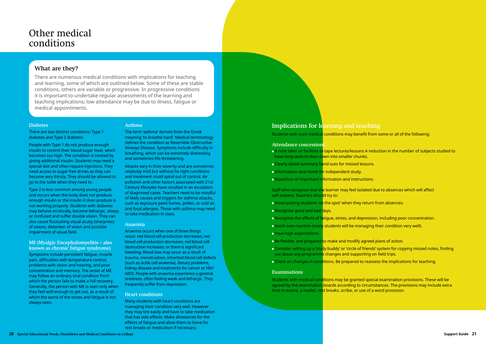#### **What are they?**

There are numerous medical conditions with implications for teaching and learning, some of which are outlined below. Some of these are stable conditions, others are variable or progressive. In progressive conditions it is important to undertake regular assessments of the learning and teaching implications; low attendance may be due to illness, fatigue or medical appointments.

#### **Diabetes**

There are two distinct conditions: Type 1 diabetes and Type 2 diabetes.

People with Type 1 do not produce enough insulin to control their blood sugar level, which becomes too high. The condition is treated by giving additional insulin. Students may need a special diet and often require injections. They need access to sugar free drinks as they can become very thirsty. They should be allowed to go to the toilet when they need to.

Type 2 is less common among young people and occurs when the body does not produce enough insulin or the insulin it does produce is not working properly. Students with diabetes may behave erratically, become lethargic, sleepy or confused and suffer double vision. They can also cause fluctuating visual acuity (sharpness of vision), distortion of vision and possible impairment of visual field.

#### **ME (Myalgic Encephalomyelitis – also known as chronic fatigue syndrome)**

Symptoms include persistent fatigue, muscle pain, difficulties with temperature control, problems with vision and hearing, and poor concentration and memory. The onset of ME may follow an ordinary viral condition from which the person fails to make a full recovery. Generally, the person with ME is seen only when they feel well enough to get out, as a result of which the worst of the stress and fatigue is not always seen.

#### **Asthma**

The term 'asthma' derives from the Greek meaning 'to breathe hard'. Medical terminology defines the condition as Reversible Obstructive Airways Disease. Symptoms include difficulty in breathing, which can be extremely distressing and sometimes life-threatening.

- **Avoid putting students 'on the spot' when they return from absences.**
- Recognise good and bad days.
- **E** Recognise the effects of fatigue, stress, and depression, including poor concentration.
- **Avoid over-reaction (many students will be managing their condition very well).**
- **Have high expectations.**
- **Be flexible, and prepared to make and modify agreed plans of action.**
- **Consider setting up a 'study buddy' or 'circle of friends' system for copying missed notes, finding** out about any programme changes and supporting on field trips.
- Check on changes in conditions. Be prepared to reassess the implications for teaching.

Students with medical conditions may be granted special examination provisions. These will be agreed by the examination boards according to circumstances. The provisions may include extra time in exams, a reader, rest breaks, scribe, or use of a word processor.

Attacks vary in their severity and are sometimes relatively mild but without he right conditions and treatment could spiral out of control. Air pollution and other factors associated with 21st Century lifestyles have resulted in an escalation of diagnosed cases. Teachers need to be mindful of likely causes and triggers for asthma attacks, such as exposure paint fumes, pollen, or cold air, and food allergies. Those with asthma may need to take medication in class.

#### **Anaemia**

Anaemia occurs when one of three things occur: red blood cell production decreases; red blood cell production decreases; red blood cell destruction increases; or there is significant bleeding. Blood loss may occur as a result of trauma, menstruation, inherited blood cell defects (such as sickle cell anaemia), dietary problems, kidney disease and treatments for cancer or HIV/ AIDS. People with anaemia experience a general tiredness, often feeling weak and lethargic. They frequently suffer from depression.

#### **Heart conditions**

Many students with heart conditions are managing their condition very well. However they may tire easily and have to take medication that has side effects. Make allowances for the effects of fatigue and allow them to leave for rest breaks or medication if necessary.

# Other medical conditions

### **Implications for learning and teaching**

Students with such medical conditions may benefit from some or all of the following:

#### **Attendance concessions**

- A note taker or facilities to tape lectures/lessons A reduction in the number of subjects studied to have long tasks broken down into smaller chunks.
- **Clearly dated summary hand outs for missed lessons.**
- **Information sent home for independent study.**
- **Repetition of important information and instructions.**

Staff who recognise that the learner may feel isolated due to absences which will affect self-esteem. Teachers should try to:

#### **Examinations**